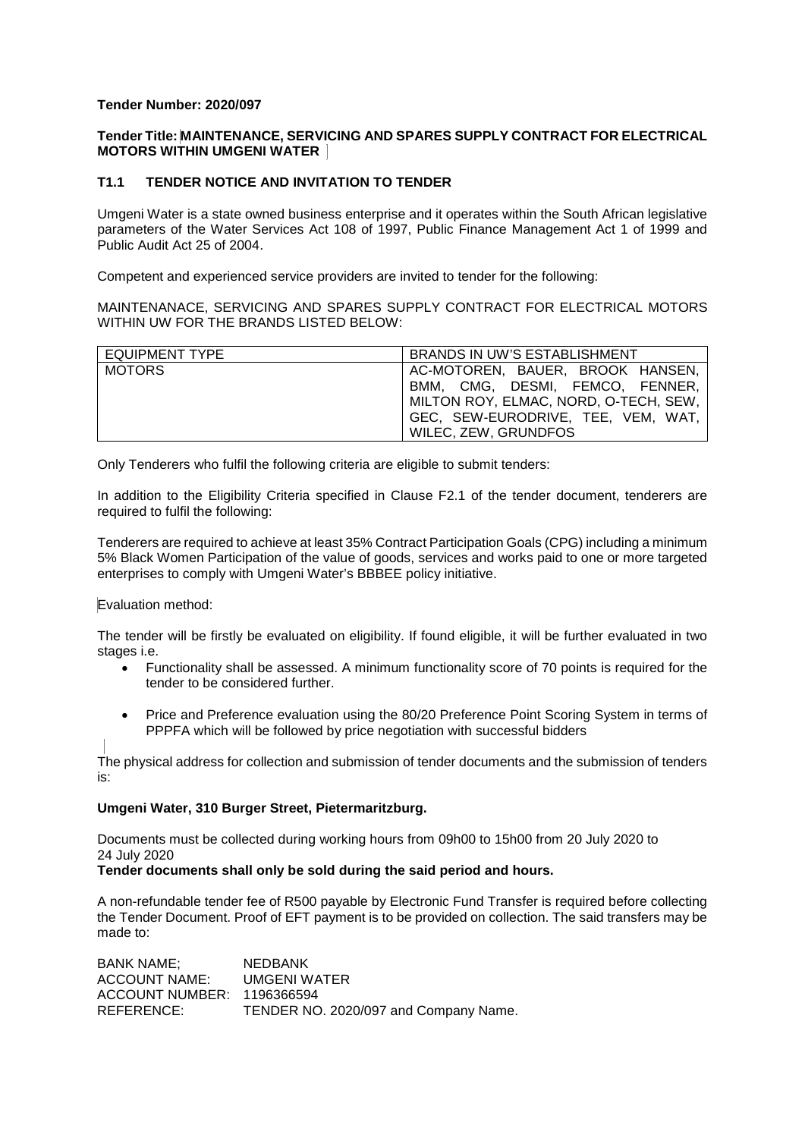## **Tender Number: 2020/097**

## **Tender Title: MAINTENANCE, SERVICING AND SPARES SUPPLY CONTRACT FOR ELECTRICAL MOTORS WITHIN UMGENI WATER**

# **T1.1 TENDER NOTICE AND INVITATION TO TENDER**

Umgeni Water is a state owned business enterprise and it operates within the South African legislative parameters of the Water Services Act 108 of 1997, Public Finance Management Act 1 of 1999 and Public Audit Act 25 of 2004.

Competent and experienced service providers are invited to tender for the following:

MAINTENANACE, SERVICING AND SPARES SUPPLY CONTRACT FOR ELECTRICAL MOTORS WITHIN UW FOR THE BRANDS LISTED BELOW:

| <b>EQUIPMENT TYPE</b> | BRANDS IN UW'S ESTABLISHMENT          |
|-----------------------|---------------------------------------|
| <b>MOTORS</b>         | AC-MOTOREN, BAUER, BROOK HANSEN,      |
|                       | BMM. CMG. DESMI. FEMCO. FENNER.       |
|                       | MILTON ROY, ELMAC, NORD, O-TECH, SEW, |
|                       | GEC, SEW-EURODRIVE, TEE, VEM, WAT,    |
|                       | WILEC, ZEW, GRUNDFOS                  |

Only Tenderers who fulfil the following criteria are eligible to submit tenders:

In addition to the Eligibility Criteria specified in Clause F2.1 of the tender document, tenderers are required to fulfil the following:

Tenderers are required to achieve at least 35% Contract Participation Goals (CPG) including a minimum 5% Black Women Participation of the value of goods, services and works paid to one or more targeted enterprises to comply with Umgeni Water's BBBEE policy initiative.

### Evaluation method:

The tender will be firstly be evaluated on eligibility. If found eligible, it will be further evaluated in two stages i.e.

- Functionality shall be assessed. A minimum functionality score of 70 points is required for the tender to be considered further.
- Price and Preference evaluation using the 80/20 Preference Point Scoring System in terms of PPPFA which will be followed by price negotiation with successful bidders

The physical address for collection and submission of tender documents and the submission of tenders is:

### **Umgeni Water, 310 Burger Street, Pietermaritzburg.**

Documents must be collected during working hours from 09h00 to 15h00 from 20 July 2020 to 24 July 2020

### **Tender documents shall only be sold during the said period and hours.**

A non-refundable tender fee of R500 payable by Electronic Fund Transfer is required before collecting the Tender Document. Proof of EFT payment is to be provided on collection. The said transfers may be made to:

BANK NAME; NEDBANK ACCOUNT NAME: UMGENI WATER ACCOUNT NUMBER: 1196366594 REFERENCE: TENDER NO. 2020/097 and Company Name.